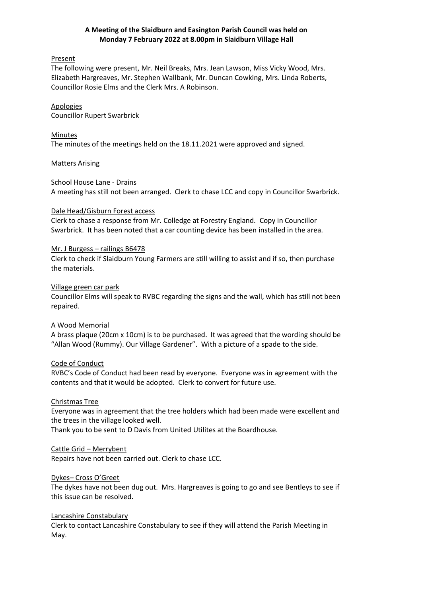# **A Meeting of the Slaidburn and Easington Parish Council was held on Monday 7 February 2022 at 8.00pm in Slaidburn Village Hall**

### Present

The following were present, Mr. Neil Breaks, Mrs. Jean Lawson, Miss Vicky Wood, Mrs. Elizabeth Hargreaves, Mr. Stephen Wallbank, Mr. Duncan Cowking, Mrs. Linda Roberts, Councillor Rosie Elms and the Clerk Mrs. A Robinson.

### Apologies

Councillor Rupert Swarbrick

### Minutes

The minutes of the meetings held on the 18.11.2021 were approved and signed.

### Matters Arising

### School House Lane - Drains

A meeting has still not been arranged. Clerk to chase LCC and copy in Councillor Swarbrick.

### Dale Head/Gisburn Forest access

Clerk to chase a response from Mr. Colledge at Forestry England. Copy in Councillor Swarbrick. It has been noted that a car counting device has been installed in the area.

### Mr. J Burgess – railings B6478

Clerk to check if Slaidburn Young Farmers are still willing to assist and if so, then purchase the materials.

### Village green car park

Councillor Elms will speak to RVBC regarding the signs and the wall, which has still not been repaired.

### A Wood Memorial

A brass plaque (20cm x 10cm) is to be purchased. It was agreed that the wording should be "Allan Wood (Rummy). Our Village Gardener". With a picture of a spade to the side.

### Code of Conduct

RVBC's Code of Conduct had been read by everyone. Everyone was in agreement with the contents and that it would be adopted. Clerk to convert for future use.

### Christmas Tree

Everyone was in agreement that the tree holders which had been made were excellent and the trees in the village looked well.

Thank you to be sent to D Davis from United Utilites at the Boardhouse.

### Cattle Grid – Merrybent

Repairs have not been carried out. Clerk to chase LCC.

### Dykes– Cross O'Greet

The dykes have not been dug out. Mrs. Hargreaves is going to go and see Bentleys to see if this issue can be resolved.

### Lancashire Constabulary

Clerk to contact Lancashire Constabulary to see if they will attend the Parish Meeting in May.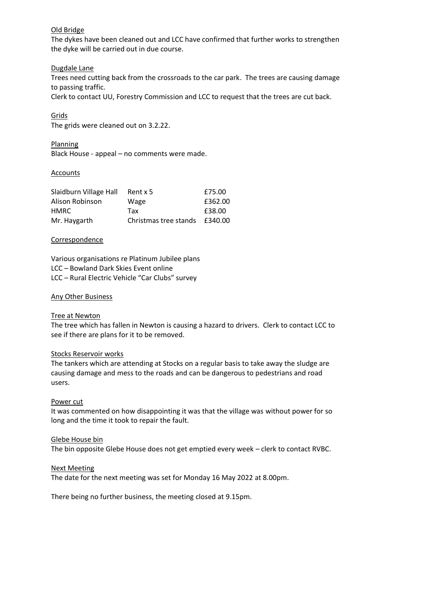### Old Bridge

The dykes have been cleaned out and LCC have confirmed that further works to strengthen the dyke will be carried out in due course.

### Dugdale Lane

Trees need cutting back from the crossroads to the car park. The trees are causing damage to passing traffic.

Clerk to contact UU, Forestry Commission and LCC to request that the trees are cut back.

### Grids

The grids were cleaned out on 3.2.22.

Planning Black House - appeal – no comments were made.

#### **Accounts**

| Slaidburn Village Hall | Rent x 5              | £75.00  |
|------------------------|-----------------------|---------|
| Alison Robinson        | Wage                  | £362.00 |
| <b>HMRC</b>            | Tax                   | £38.00  |
| Mr. Haygarth           | Christmas tree stands | £340.00 |

#### Correspondence

Various organisations re Platinum Jubilee plans LCC – Bowland Dark Skies Event online LCC – Rural Electric Vehicle "Car Clubs" survey

#### Any Other Business

#### Tree at Newton

The tree which has fallen in Newton is causing a hazard to drivers. Clerk to contact LCC to see if there are plans for it to be removed.

#### Stocks Reservoir works

The tankers which are attending at Stocks on a regular basis to take away the sludge are causing damage and mess to the roads and can be dangerous to pedestrians and road users.

#### Power cut

It was commented on how disappointing it was that the village was without power for so long and the time it took to repair the fault.

#### Glebe House bin

The bin opposite Glebe House does not get emptied every week – clerk to contact RVBC.

#### Next Meeting

The date for the next meeting was set for Monday 16 May 2022 at 8.00pm.

There being no further business, the meeting closed at 9.15pm.